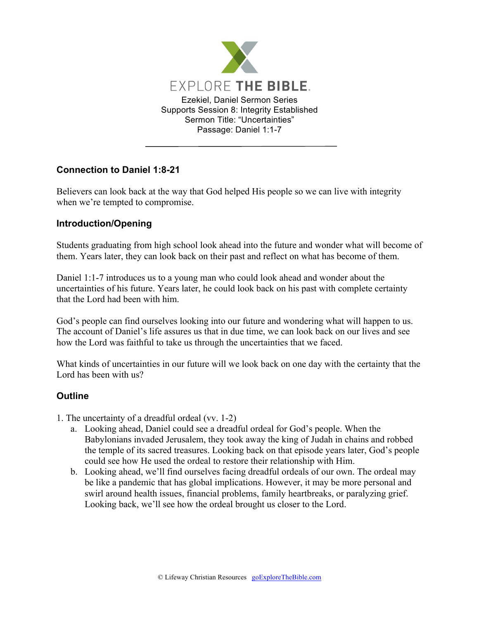

## **Connection to Daniel 1:8-21**

Believers can look back at the way that God helped His people so we can live with integrity when we're tempted to compromise.

## **Introduction/Opening**

Students graduating from high school look ahead into the future and wonder what will become of them. Years later, they can look back on their past and reflect on what has become of them.

Daniel 1:1-7 introduces us to a young man who could look ahead and wonder about the uncertainties of his future. Years later, he could look back on his past with complete certainty that the Lord had been with him.

God's people can find ourselves looking into our future and wondering what will happen to us. The account of Daniel's life assures us that in due time, we can look back on our lives and see how the Lord was faithful to take us through the uncertainties that we faced.

What kinds of uncertainties in our future will we look back on one day with the certainty that the Lord has been with us?

## **Outline**

1. The uncertainty of a dreadful ordeal (vv. 1-2)

- a. Looking ahead, Daniel could see a dreadful ordeal for God's people. When the Babylonians invaded Jerusalem, they took away the king of Judah in chains and robbed the temple of its sacred treasures. Looking back on that episode years later, God's people could see how He used the ordeal to restore their relationship with Him.
- b. Looking ahead, we'll find ourselves facing dreadful ordeals of our own. The ordeal may be like a pandemic that has global implications. However, it may be more personal and swirl around health issues, financial problems, family heartbreaks, or paralyzing grief. Looking back, we'll see how the ordeal brought us closer to the Lord.